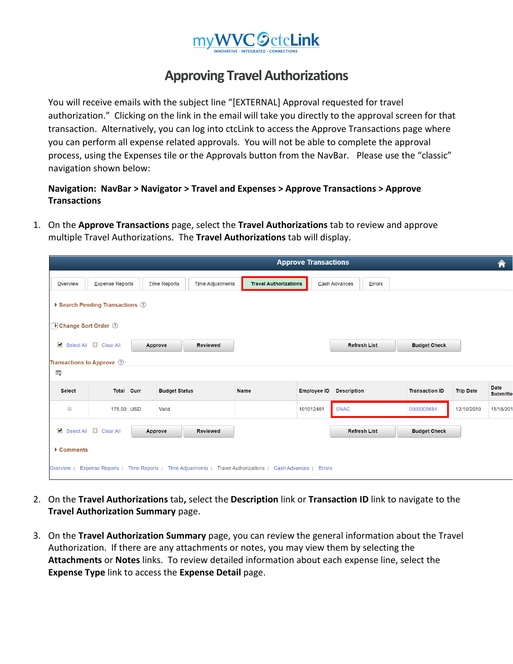

## **Approving Travel Authorizations**

You will receive emails with the subject line "[EXTERNAL] Approval requested for travel authorization." Clicking on the link in the email will take you directly to the approval screen for that transaction. Alternatively, you can log into ctcLink to access the Approve Transactions page where you can perform all expense related approvals. You will not be able to complete the approval process, using the Expenses tile or the Approvals button from the NavBar. Please use the "classic" navigation shown below:

## **Navigation: NavBar > Navigator > Travel and Expenses > Approve Transactions > Approve Transactions**

1. On the **Approve Transactions** page, select the **Travel Authorizations** tab to review and approve multiple Travel Authorizations. The **Travel Authorizations** tab will display.

|                                 |                                                                                                                    |  |                      |                         |                              | <b>Approve Transactions</b> |                      |        |                       |                  | 合                       |
|---------------------------------|--------------------------------------------------------------------------------------------------------------------|--|----------------------|-------------------------|------------------------------|-----------------------------|----------------------|--------|-----------------------|------------------|-------------------------|
| <b>Overview</b>                 | <b>Expense Reports</b>                                                                                             |  | <b>Time Reports</b>  | <b>Time Adjustments</b> | <b>Travel Authorizations</b> |                             | <b>Cash Advances</b> | Errors |                       |                  |                         |
| ▶ Search Pending Transactions ② |                                                                                                                    |  |                      |                         |                              |                             |                      |        |                       |                  |                         |
| Change Sort Order 7             |                                                                                                                    |  |                      |                         |                              |                             |                      |        |                       |                  |                         |
|                                 | Select All <b>D</b> Clear All                                                                                      |  | Approve              | <b>Reviewed</b>         |                              |                             | <b>Refresh List</b>  |        | <b>Budget Check</b>   |                  |                         |
|                                 | Transactions to Approve ②                                                                                          |  |                      |                         |                              |                             |                      |        |                       |                  |                         |
| $\overline{\mathbb{H}_1}$       |                                                                                                                    |  |                      |                         |                              |                             |                      |        |                       |                  |                         |
| <b>Select</b>                   | <b>Total Curr</b>                                                                                                  |  | <b>Budget Status</b> |                         | <b>Name</b>                  | <b>Employee ID</b>          | <b>Description</b>   |        | <b>Transaction ID</b> | <b>Trip Date</b> | Date<br><b>Submitte</b> |
| $\Box$                          | 175.00 USD                                                                                                         |  | Valid                |                         |                              | 101012461                   | <b>SNAC</b>          |        | 0000005684            | 12/10/2019       | 11/15/201               |
|                                 | Select All Clear All                                                                                               |  | <b>Approve</b>       | <b>Reviewed</b>         |                              |                             | <b>Refresh List</b>  |        | <b>Budget Check</b>   |                  |                         |
| ▶ Comments                      |                                                                                                                    |  |                      |                         |                              |                             |                      |        |                       |                  |                         |
| Overview                        | Time Reports   Time Adjustments   Travel Authorizations  <br>Expense Reports  <br>Cash Advances  <br><b>Errors</b> |  |                      |                         |                              |                             |                      |        |                       |                  |                         |

- 2. On the **Travel Authorizations** tab**,** select the **Description** link or **Transaction ID** link to navigate to the **Travel Authorization Summary** page.
- 3. On the **Travel Authorization Summary** page, you can review the general information about the Travel Authorization. If there are any attachments or notes, you may view them by selecting the **Attachments** or **Notes** links. To review detailed information about each expense line, select the **Expense Type** link to access the **Expense Detail** page.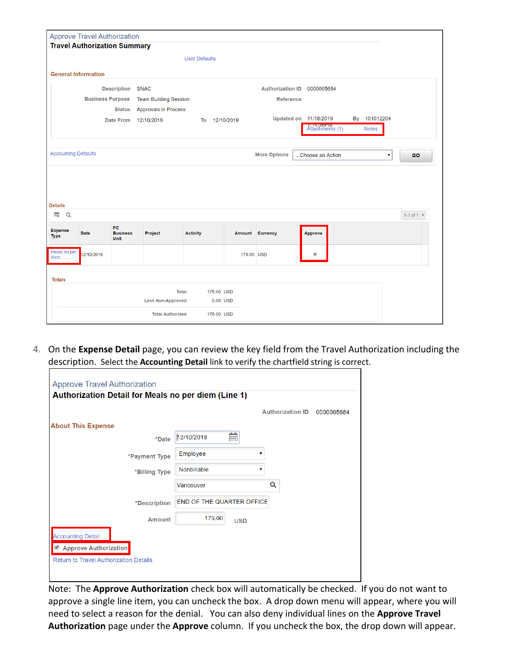| <b>Approve Travel Authorization</b>   |                                     |                                       |                                                        |                      |               |                     |                         |  |                    |              |
|---------------------------------------|-------------------------------------|---------------------------------------|--------------------------------------------------------|----------------------|---------------|---------------------|-------------------------|--|--------------------|--------------|
|                                       | <b>Travel Authorization Summary</b> |                                       |                                                        |                      |               |                     |                         |  |                    |              |
|                                       |                                     |                                       |                                                        | <b>User Defaults</b> |               |                     |                         |  |                    |              |
|                                       | <b>General Information</b>          |                                       |                                                        |                      |               |                     |                         |  |                    |              |
|                                       |                                     |                                       |                                                        |                      |               |                     |                         |  |                    |              |
|                                       |                                     |                                       | <b>Description SNAC</b><br>Authorization ID 0000005684 |                      |               |                     |                         |  |                    |              |
|                                       | <b>Business Purpose</b>             |                                       | <b>Team Building Session</b>                           |                      |               | <b>Reference</b>    |                         |  |                    |              |
|                                       |                                     | <b>Status</b>                         | <b>Approvals in Process</b>                            |                      |               |                     | Updated on 11/18/2019   |  | By 101012204       |              |
|                                       |                                     | <b>Date From</b>                      | 12/10/2019                                             |                      | To 12/10/2019 |                     | Attachments (1)         |  | <b>Notes</b>       |              |
|                                       |                                     |                                       |                                                        |                      |               |                     |                         |  |                    |              |
|                                       |                                     |                                       |                                                        |                      |               |                     |                         |  |                    |              |
| <b>Accounting Defaults</b>            |                                     |                                       |                                                        |                      |               |                     |                         |  |                    |              |
|                                       |                                     |                                       |                                                        |                      |               | <b>More Options</b> | Choose an Action        |  | $\pmb{\mathrm{v}}$ | <b>GO</b>    |
| <b>Details</b><br>E.                  |                                     |                                       |                                                        |                      |               |                     |                         |  |                    | 1-1 of 1 $*$ |
| Q                                     |                                     |                                       |                                                        |                      |               |                     |                         |  |                    |              |
| <b>Expense</b><br><b>Type</b>         | <b>Date</b>                         | PC.<br><b>Business</b><br><b>Unit</b> | Project                                                | <b>Activity</b>      |               | Amount Currency     | <b>Approve</b>          |  |                    |              |
|                                       | 12/10/2019                          |                                       |                                                        |                      |               | 175.00 USD          | $\overline{\mathbf{v}}$ |  |                    |              |
|                                       |                                     |                                       |                                                        |                      |               |                     |                         |  |                    |              |
| Meals no per<br>diem<br><b>Totals</b> |                                     |                                       |                                                        |                      |               |                     |                         |  |                    |              |
|                                       |                                     |                                       |                                                        | <b>Total</b>         | 175.00 USD    |                     |                         |  |                    |              |
|                                       |                                     |                                       | <b>Less Non-Approved</b>                               |                      | 0.00 USD      |                     |                         |  |                    |              |

4. On the **Expense Detail** page, you can review the key field from the Travel Authorization including the description. Select the **Accounting Detail** link to verify the chartfield string is correct.

|                              |                                  |            | <b>Authorization ID</b> | 0000005684 |
|------------------------------|----------------------------------|------------|-------------------------|------------|
| <b>About This Expense</b>    |                                  |            |                         |            |
| *Date                        | 12/10/2019                       | 繭          |                         |            |
| *Payment Type                | Employee                         |            |                         |            |
| *Billing Type                | Nonbillable                      |            |                         |            |
|                              | Vancouver                        |            | Q                       |            |
| *Description                 | <b>END OF THE QUARTER OFFICE</b> |            |                         |            |
| <b>Amount</b>                | 175.00                           | <b>USD</b> |                         |            |
| <b>Accounting Detail</b>     |                                  |            |                         |            |
| <b>Approve Authorization</b> |                                  |            |                         |            |

Note: The **Approve Authorization** check box will automatically be checked. If you do not want to approve a single line item, you can uncheck the box. A drop down menu will appear, where you will need to select a reason for the denial. You can also deny individual lines on the **Approve Travel Authorization** page under the **Approve** column. If you uncheck the box, the drop down will appear.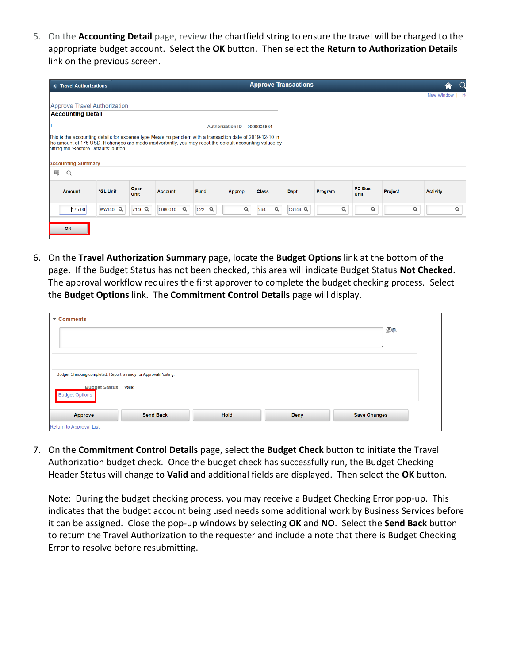5. On the **Accounting Detail** page, review the chartfield string to ensure the travel will be charged to the appropriate budget account. Select the **OK** button. Then select the **Return to Authorization Details** link on the previous screen.

| <b>&lt; Travel Authorizations</b>                                                                                                                                                                                                                                                                              | <b>Approve Transactions</b>            |                         |                 |             |         |                       |         |                   |   |  |  |
|----------------------------------------------------------------------------------------------------------------------------------------------------------------------------------------------------------------------------------------------------------------------------------------------------------------|----------------------------------------|-------------------------|-----------------|-------------|---------|-----------------------|---------|-------------------|---|--|--|
|                                                                                                                                                                                                                                                                                                                |                                        |                         |                 |             |         |                       |         | <b>New Window</b> |   |  |  |
| <b>Approve Travel Authorization</b>                                                                                                                                                                                                                                                                            |                                        |                         |                 |             |         |                       |         |                   |   |  |  |
| <b>Accounting Detail</b>                                                                                                                                                                                                                                                                                       |                                        |                         |                 |             |         |                       |         |                   |   |  |  |
|                                                                                                                                                                                                                                                                                                                |                                        | <b>Authorization ID</b> | 0000005684      |             |         |                       |         |                   |   |  |  |
| This is the accounting details for expense type Meals no per diem with a transaction date of 2019-12-10 in<br>the amount of 175 USD. If changes are made inadvertently, you may reset the default accounting values by<br>hitting the 'Restore Defaults' button.<br><b>Accounting Summary</b><br>国<br>$\alpha$ |                                        |                         |                 |             |         |                       |         |                   |   |  |  |
|                                                                                                                                                                                                                                                                                                                |                                        |                         |                 |             |         |                       |         |                   |   |  |  |
| Oper<br>*GL Unit<br><b>Amount</b><br><b>Unit</b>                                                                                                                                                                                                                                                               | <b>Account</b><br>Fund                 | Approp                  | <b>Class</b>    | <b>Dept</b> | Program | PC Bus<br><b>Unit</b> | Project | <b>Activity</b>   |   |  |  |
| 7140 Q<br><b>WA140 Q</b><br>175.00                                                                                                                                                                                                                                                                             | $\alpha$<br>$\alpha$<br>522<br>5080010 | $\alpha$                | $\alpha$<br>264 | 53144 Q     | Q       | Q                     | Q       |                   | Q |  |  |
| OK                                                                                                                                                                                                                                                                                                             |                                        |                         |                 |             |         |                       |         |                   |   |  |  |

6. On the **Travel Authorization Summary** page, locate the **Budget Options** link at the bottom of the page. If the Budget Status has not been checked, this area will indicate Budget Status **Not Checked**. The approval workflow requires the first approver to complete the budget checking process. Select the **Budget Options** link. The **Commitment Control Details** page will display.

| $\blacktriangleright$ Comments<br>图                                                                                     |  |
|-------------------------------------------------------------------------------------------------------------------------|--|
| Budget Checking completed. Report is ready for Approval/Posting.<br><b>Budget Status Valid</b><br><b>Budget Options</b> |  |
| <b>Hold</b><br><b>Send Back</b><br><b>Deny</b><br><b>Save Changes</b><br>Approve<br>Return to Approval List             |  |

7. On the **Commitment Control Details** page, select the **Budget Check** button to initiate the Travel Authorization budget check. Once the budget check has successfully run, the Budget Checking Header Status will change to **Valid** and additional fields are displayed. Then select the **OK** button.

Note: During the budget checking process, you may receive a Budget Checking Error pop-up. This indicates that the budget account being used needs some additional work by Business Services before it can be assigned. Close the pop-up windows by selecting **OK** and **NO**. Select the **Send Back** button to return the Travel Authorization to the requester and include a note that there is Budget Checking Error to resolve before resubmitting.